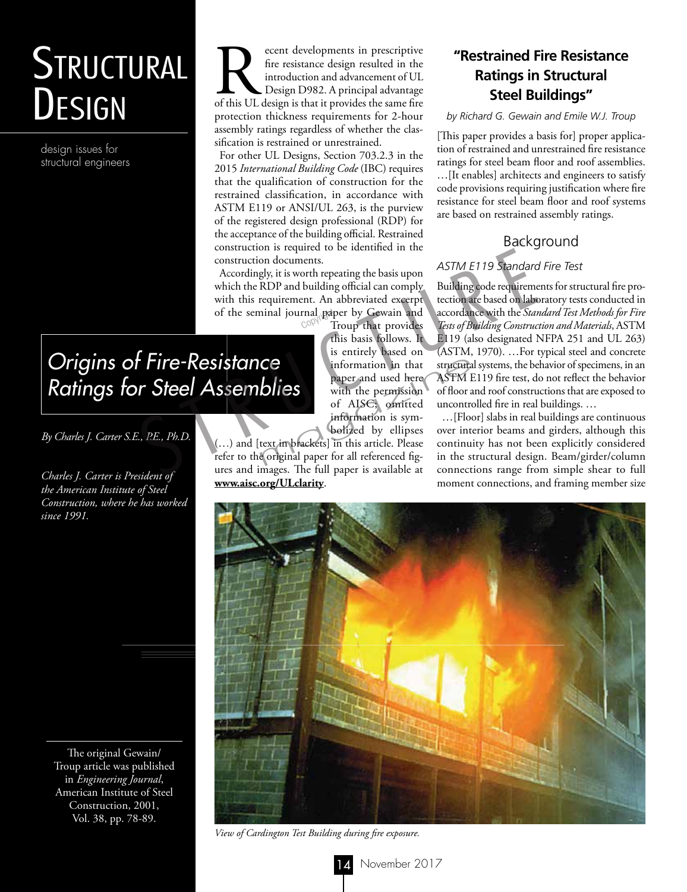# **STRUCTURAL** DESIGN

design issues for structural engineers

France design resulted in the introduction and advancement of UL Design D982. A principal advantage of this UL design is that it provides the same fire fire resistance design resulted in the introduction and advancement of UL Design D982. A principal advantage protection thickness requirements for 2-hour assembly ratings regardless of whether the classification is restrained or unrestrained.

For other UL Designs, Section 703.2.3 in the 2015 *International Building Code* (IBC) requires that the qualification of construction for the restrained classification, in accordance with ASTM E119 or ANSI/UL 263, is the purview of the registered design professional (RDP) for the acceptance of the building official. Restrained construction is required to be identified in the construction documents.

Accordingly, it is worth repeating the basis upon which the RDP and building official can comply with this requirement. An abbreviated excerpt of the seminal journal paper by Gewain and<br>Troup that provides

Troup that provides this basis follows. It is entirely based on information in that paper and used here with the permission of AISC; omitted information is symbolized by ellipses **CC**<br>
information in that structura<br>
paper and used here ASTM I<br>
with the permission of floor a<br>
of AISC; omitted uncontro<br>
information is sym-<br>
...[Floor<br>
bolized by ellipses over intext in brackets] in this article. Plea

#### (…) and [text in brackets] in this article. Please refer to the original paper for all referenced figures and images. The full paper is available at **www.aisc.org/ULclarity**.

# **"Restrained Fire Resistance Ratings in Structural Steel Buildings"**

#### *by Richard G. Gewain and Emile W.J. Troup*

[This paper provides a basis for] proper application of restrained and unrestrained fire resistance ratings for steel beam floor and roof assemblies. …[It enables] architects and engineers to satisfy code provisions requiring justification where fire resistance for steel beam floor and roof systems are based on restrained assembly ratings.

# Background

#### *ASTM E119 Standard Fire Test*

Building code requirements for structural fire protection are based on laboratory tests conducted in accordance with the *Standard Test Methods for Fire Tests of Building Construction and Materials*, ASTM E119 (also designated NFPA 251 and UL 263) (ASTM, 1970). …For typical steel and concrete structural systems, the behavior of specimens, in an ASTM E119 fire test, do not reflect the behavior of floor and roof constructions that are exposed to uncontrolled fire in real buildings. … construction is required to be identified in the<br>
construction documents.<br>
Accordingly, it is worth repeating the basis upon<br>
which the RDP and building construction are based on labor<br>
with this requirement. An abbreviat

…[Floor] slabs in real buildings are continuous over interior beams and girders, although this continuity has not been explicitly considered in the structural design. Beam/girder/column connections range from simple shear to full moment connections, and framing member size



*View of Cardington Test Building during fire exposure.*

# *Origins of Fire-Resistance Ratings for Steel Assemblies*

*By Charles J. Carter S.E., P.E., Ph.D.*

*Charles J. Carter is President of the American Institute of Steel Construction, where he has worked since 1991.*

The original Gewain/ Troup article was published in *Engineering Journal*, American Institute of Steel Construction, 2001, Vol. 38, pp. 78-89.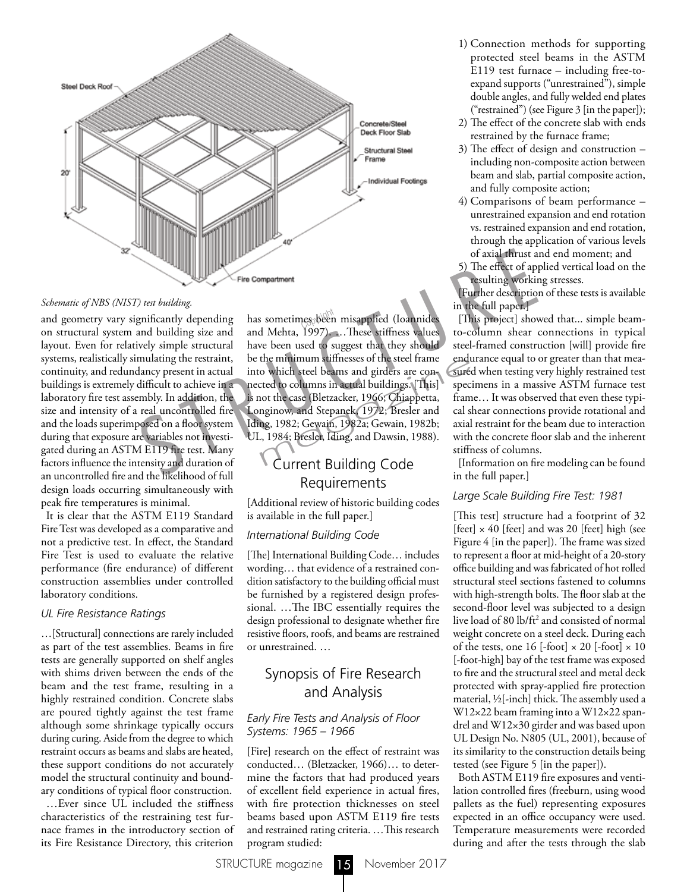

and geometry vary significantly depending on structural system and building size and layout. Even for relatively simple structural systems, realistically simulating the restraint, continuity, and redundancy present in actual buildings is extremely difficult to achieve in a laboratory fire test assembly. In addition, the size and intensity of a real uncontrolled fire and the loads superimposed on a floor system during that exposure are variables not investigated during an ASTM E119 fire test. Many factors influence the intensity and duration of an uncontrolled fire and the likelihood of full design loads occurring simultaneously with peak fire temperatures is minimal. Fine Compariment<br>
of axial thrust a<br>
Schematic of NBS (NIST) test building<br>
Schematic of NBS (NIST) test building<br>
Schematic of NBS (NIST) test building<br>
Schematic system and building size and Mehda, 1997). ... These stiff

It is clear that the ASTM E119 Standard Fire Test was developed as a comparative and not a predictive test. In effect, the Standard Fire Test is used to evaluate the relative performance (fire endurance) of different construction assemblies under controlled laboratory conditions.

#### *UL Fire Resistance Ratings*

…[Structural] connections are rarely included as part of the test assemblies. Beams in fire tests are generally supported on shelf angles with shims driven between the ends of the beam and the test frame, resulting in a highly restrained condition. Concrete slabs are poured tightly against the test frame although some shrinkage typically occurs during curing. Aside from the degree to which restraint occurs as beams and slabs are heated, these support conditions do not accurately model the structural continuity and boundary conditions of typical floor construction. …Ever since UL included the stiffness characteristics of the restraining test furnace frames in the introductory section of its Fire Resistance Directory, this criterion

has sometimes been misapplied (Ioannides and Mehta, 1997). …These stiffness values have been used to suggest that they should be the minimum stiffnesses of the steel frame into which steel beams and girders are connected to columns in actual buildings. [This] is not the case (Bletzacker, 1966; Chiappetta, Longinow, and Stepanek, 1972; Bresler and Iding, 1982; Gewain, 1982a; Gewain, 1982b; UL, 1984; Bresler, Iding, and Dawsin, 1988). the minimum stiffnesses of the steel frame<br>
o which steel beams and girders are con-<br>
steed to columns in actual buildings. [This] speci<br>
not the case (Bletzacker, 1966; Chiappetta, fram<br>
nginow, and Stepanek, 1972; Bresle

## Current Building Code Requirements

[Additional review of historic building codes is available in the full paper.]

#### *International Building Code*

[The] International Building Code… includes wording… that evidence of a restrained condition satisfactory to the building official must be furnished by a registered design professional. …The IBC essentially requires the design professional to designate whether fire resistive floors, roofs, and beams are restrained or unrestrained. …

# Synopsis of Fire Research and Analysis

#### *Early Fire Tests and Analysis of Floor Systems: 1965 – 1966*

[Fire] research on the effect of restraint was conducted… (Bletzacker, 1966)… to determine the factors that had produced years of excellent field experience in actual fires, with fire protection thicknesses on steel beams based upon ASTM E119 fire tests and restrained rating criteria. …This research program studied:

- 1) Connection methods for supporting protected steel beams in the ASTM E119 test furnace – including free-toexpand supports ("unrestrained"), simple double angles, and fully welded end plates ("restrained") (see Figure 3 [in the paper]);
- 2) The effect of the concrete slab with ends restrained by the furnace frame;
- 3) The effect of design and construction including non-composite action between beam and slab, partial composite action, and fully composite action;
- 4) Comparisons of beam performance unrestrained expansion and end rotation vs. restrained expansion and end rotation, through the application of various levels of axial thrust and end moment; and
- 5) The effect of applied vertical load on the resulting working stresses.

[Further description of these tests is available in the full paper.]

[This project] showed that... simple beamto-column shear connections in typical steel-framed construction [will] provide fire endurance equal to or greater than that measured when testing very highly restrained test specimens in a massive ASTM furnace test frame… It was observed that even these typical shear connections provide rotational and axial restraint for the beam due to interaction with the concrete floor slab and the inherent stiffness of columns.

[Information on fire modeling can be found in the full paper.]

#### *Large Scale Building Fire Test: 1981*

[This test] structure had a footprint of 32 [feet]  $\times$  40 [feet] and was 20 [feet] high (see Figure 4 [in the paper]). The frame was sized to represent a floor at mid-height of a 20-story office building and was fabricated of hot rolled structural steel sections fastened to columns with high-strength bolts. The floor slab at the second-floor level was subjected to a design live load of 80 lb/ft2 and consisted of normal weight concrete on a steel deck. During each of the tests, one  $16$  [-foot]  $\times 20$  [-foot]  $\times 10$ [-foot-high] bay of the test frame was exposed to fire and the structural steel and metal deck protected with spray-applied fire protection material, ½[-inch] thick. The assembly used a W12×22 beam framing into a W12×22 spandrel and W12×30 girder and was based upon UL Design No. N805 (UL, 2001), because of its similarity to the construction details being tested (see Figure 5 [in the paper]).

Both ASTM E119 fire exposures and ventilation controlled fires (freeburn, using wood pallets as the fuel) representing exposures expected in an office occupancy were used. Temperature measurements were recorded during and after the tests through the slab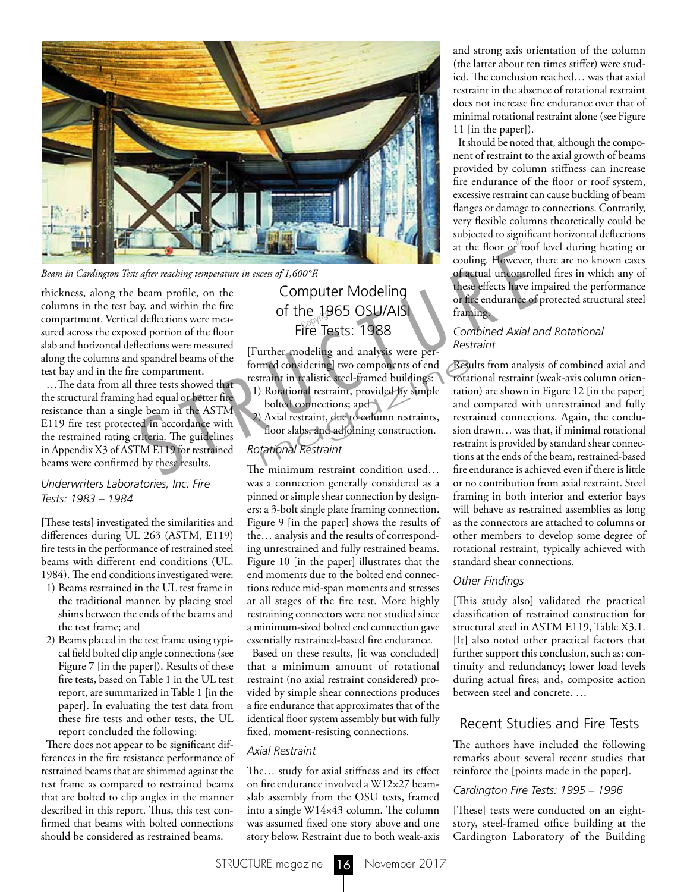

thickness, along the beam profile, on the columns in the test bay, and within the fire compartment. Vertical deflections were measured across the exposed portion of the floor slab and horizontal deflections were measured along the columns and spandrel beams of the test bay and in the fire compartment.

…The data from all three tests showed that the structural framing had equal or better fire resistance than a single beam in the ASTM E119 fire test protected in accordance with the restrained rating criteria. The guidelines in Appendix X3 of ASTM E119 for restrained beams were confirmed by these results. *Beam in Cardington Tests after reaching temperature in excess of 1,600°F.*<br>
becomes, along the beam profile, on the<br>
columns in the test bay, and within the fire<br>
columns in the test bay, and within the fire<br>
computer Mod

#### *Underwriters Laboratories, Inc. Fire Tests: 1983 – 1984*

[These tests] investigated the similarities and differences during UL 263 (ASTM, E119) fire tests in the performance of restrained steel beams with different end conditions (UL, 1984). The end conditions investigated were:

- 1) Beams restrained in the UL test frame in the traditional manner, by placing steel shims between the ends of the beams and the test frame; and
- 2) Beams placed in the test frame using typical field bolted clip angle connections (see Figure 7 [in the paper]). Results of these fire tests, based on Table 1 in the UL test report, are summarized in Table 1 [in the paper]. In evaluating the test data from these fire tests and other tests, the UL report concluded the following:

There does not appear to be significant differences in the fire resistance performance of restrained beams that are shimmed against the test frame as compared to restrained beams that are bolted to clip angles in the manner described in this report. Thus, this test confirmed that beams with bolted connections should be considered as restrained beams.

# Computer Modeling of the 1965 OSU/AISI<br>Fire Tester 1988 Fire Tests: 1988

[Further modeling and analysis were performed considering] two components of end restraint in realistic steel-framed buildings: med considering] two components of end<br>traint in realistic steel-framed buildings: rotat<br>positional restraint, provided by simple tatio<br>bolted connections; and and<br>and Axial restraint, due to column restraints, restration<br>

- 1) Rotational restraint, provided by simple bolted connections; and
- 2) Axial restraint, due to column restraints, floor slabs, and adjoining construction.

#### *Rotational Restraint*

The minimum restraint condition used… was a connection generally considered as a pinned or simple shear connection by designers: a 3-bolt single plate framing connection. Figure 9 [in the paper] shows the results of the… analysis and the results of corresponding unrestrained and fully restrained beams. Figure 10 [in the paper] illustrates that the end moments due to the bolted end connections reduce mid-span moments and stresses at all stages of the fire test. More highly restraining connectors were not studied since a minimum-sized bolted end connection gave essentially restrained-based fire endurance.

Based on these results, [it was concluded] that a minimum amount of rotational restraint (no axial restraint considered) provided by simple shear connections produces a fire endurance that approximates that of the identical floor system assembly but with fully fixed, moment-resisting connections.

#### *Axial Restraint*

The… study for axial stiffness and its effect on fire endurance involved a W12×27 beamslab assembly from the OSU tests, framed into a single W14×43 column. The column was assumed fixed one story above and one story below. Restraint due to both weak-axis

and strong axis orientation of the column (the latter about ten times stiffer) were studied. The conclusion reached… was that axial restraint in the absence of rotational restraint does not increase fire endurance over that of minimal rotational restraint alone (see Figure 11 [in the paper]).

It should be noted that, although the component of restraint to the axial growth of beams provided by column stiffness can increase fire endurance of the floor or roof system, excessive restraint can cause buckling of beam flanges or damage to connections. Contrarily, very flexible columns theoretically could be subjected to significant horizontal deflections at the floor or roof level during heating or cooling. However, there are no known cases of actual uncontrolled fires in which any of these effects have impaired the performance or fire endurance of protected structural steel framing.

#### *Combined Axial and Rotational Restraint*

Results from analysis of combined axial and rotational restraint (weak-axis column orientation) are shown in Figure 12 [in the paper] and compared with unrestrained and fully restrained connections. Again, the conclusion drawn… was that, if minimal rotational restraint is provided by standard shear connections at the ends of the beam, restrained-based fire endurance is achieved even if there is little or no contribution from axial restraint. Steel framing in both interior and exterior bays will behave as restrained assemblies as long as the connectors are attached to columns or other members to develop some degree of rotational restraint, typically achieved with standard shear connections.

#### *Other Findings*

[This study also] validated the practical classification of restrained construction for structural steel in ASTM E119, Table X3.1. [It] also noted other practical factors that further support this conclusion, such as: continuity and redundancy; lower load levels during actual fires; and, composite action between steel and concrete. …

## Recent Studies and Fire Tests

The authors have included the following remarks about several recent studies that reinforce the [points made in the paper].

#### *Cardington Fire Tests: 1995* – *1996*

[These] tests were conducted on an eightstory, steel-framed office building at the Cardington Laboratory of the Building